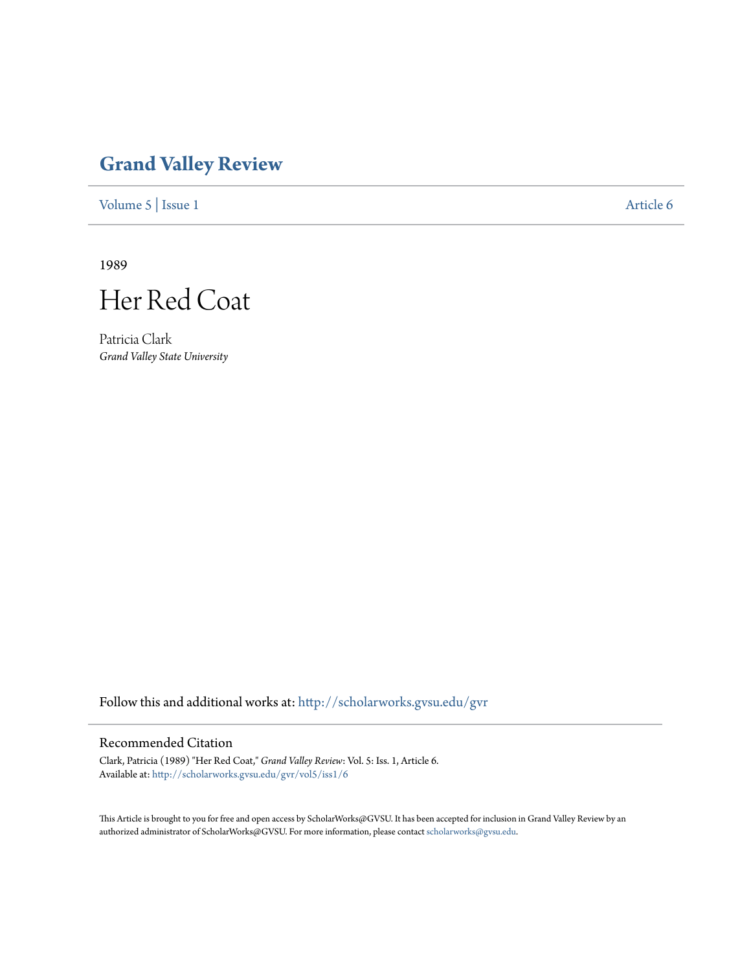## **[Grand Valley Review](http://scholarworks.gvsu.edu/gvr?utm_source=scholarworks.gvsu.edu%2Fgvr%2Fvol5%2Fiss1%2F6&utm_medium=PDF&utm_campaign=PDFCoverPages)**

[Volume 5](http://scholarworks.gvsu.edu/gvr/vol5?utm_source=scholarworks.gvsu.edu%2Fgvr%2Fvol5%2Fiss1%2F6&utm_medium=PDF&utm_campaign=PDFCoverPages) | [Issue 1](http://scholarworks.gvsu.edu/gvr/vol5/iss1?utm_source=scholarworks.gvsu.edu%2Fgvr%2Fvol5%2Fiss1%2F6&utm_medium=PDF&utm_campaign=PDFCoverPages) [Article 6](http://scholarworks.gvsu.edu/gvr/vol5/iss1/6?utm_source=scholarworks.gvsu.edu%2Fgvr%2Fvol5%2Fiss1%2F6&utm_medium=PDF&utm_campaign=PDFCoverPages)

1989



Patricia Clark *Grand Valley State University*

Follow this and additional works at: [http://scholarworks.gvsu.edu/gvr](http://scholarworks.gvsu.edu/gvr?utm_source=scholarworks.gvsu.edu%2Fgvr%2Fvol5%2Fiss1%2F6&utm_medium=PDF&utm_campaign=PDFCoverPages)

## Recommended Citation

Clark, Patricia (1989) "Her Red Coat," *Grand Valley Review*: Vol. 5: Iss. 1, Article 6. Available at: [http://scholarworks.gvsu.edu/gvr/vol5/iss1/6](http://scholarworks.gvsu.edu/gvr/vol5/iss1/6?utm_source=scholarworks.gvsu.edu%2Fgvr%2Fvol5%2Fiss1%2F6&utm_medium=PDF&utm_campaign=PDFCoverPages)

This Article is brought to you for free and open access by ScholarWorks@GVSU. It has been accepted for inclusion in Grand Valley Review by an authorized administrator of ScholarWorks@GVSU. For more information, please contact [scholarworks@gvsu.edu.](mailto:scholarworks@gvsu.edu)